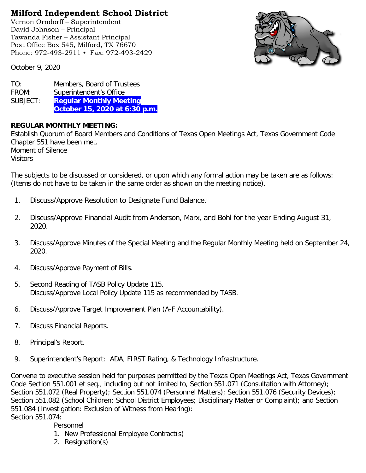## **Milford Independent School District**

Vernon Orndorff – Superintendent David Johnson – Principal Tawanda Fisher – Assistant Principal Post Office Box 545, Milford, TX 76670 Phone: 972-493-2911 • Fax: 972-493-2429



October 9, 2020

TO: Members, Board of Trustees FROM: Superintendent's Office SUBJECT: **Regular Monthly Meeting October 15, 2020 at 6:30 p.m.**

## **REGULAR MONTHLY MEETING:**

Establish Quorum of Board Members and Conditions of Texas Open Meetings Act, Texas Government Code Chapter 551 have been met. Moment of Silence

Visitors

The subjects to be discussed or considered, or upon which any formal action may be taken are as follows: (Items do not have to be taken in the same order as shown on the meeting notice).

- 1. Discuss/Approve Resolution to Designate Fund Balance.
- 2. Discuss/Approve Financial Audit from Anderson, Marx, and Bohl for the year Ending August 31, 2020.
- 3. Discuss/Approve Minutes of the Special Meeting and the Regular Monthly Meeting held on September 24, 2020.
- 4. Discuss/Approve Payment of Bills.
- 5. Second Reading of TASB Policy Update 115. Discuss/Approve Local Policy Update 115 as recommended by TASB.
- 6. Discuss/Approve Target Improvement Plan (A-F Accountability).
- 7. Discuss Financial Reports.
- 8. Principal's Report.
- 9. Superintendent's Report: ADA, FIRST Rating, & Technology Infrastructure.

Convene to executive session held for purposes permitted by the Texas Open Meetings Act, Texas Government Code Section 551.001 et seq., including but not limited to, Section 551.071 (Consultation with Attorney); Section 551.072 (Real Property); Section 551.074 (Personnel Matters); Section 551.076 (Security Devices); Section 551.082 (School Children; School District Employees; Disciplinary Matter or Complaint); and Section 551.084 (Investigation: Exclusion of Witness from Hearing): Section 551.074:

Personnel

- 1. New Professional Employee Contract(s)
- 2. Resignation(s)